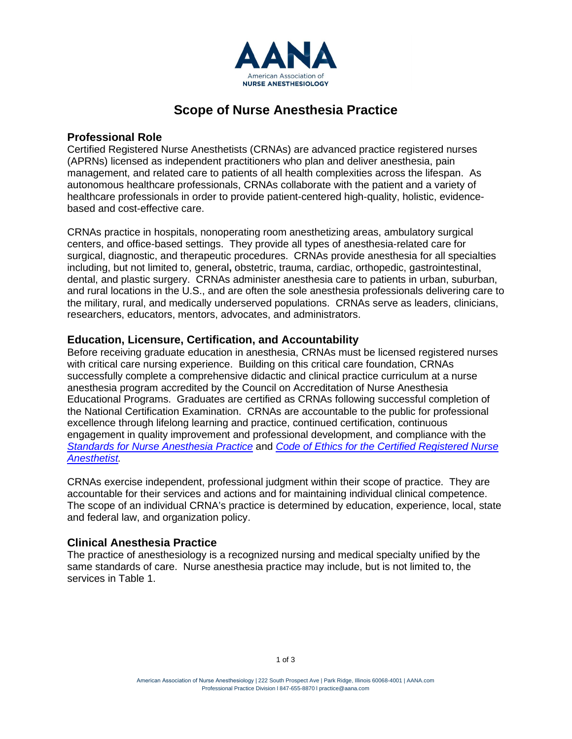

# **Scope of Nurse Anesthesia Practice**

# **Professional Role**

Certified Registered Nurse Anesthetists (CRNAs) are advanced practice registered nurses (APRNs) licensed as independent practitioners who plan and deliver anesthesia, pain management, and related care to patients of all health complexities across the lifespan. As autonomous healthcare professionals, CRNAs collaborate with the patient and a variety of healthcare professionals in order to provide patient-centered high-quality, holistic, evidencebased and cost-effective care.

CRNAs practice in hospitals, nonoperating room anesthetizing areas, ambulatory surgical centers, and office-based settings. They provide all types of anesthesia-related care for surgical, diagnostic, and therapeutic procedures. CRNAs provide anesthesia for all specialties including, but not limited to, general**,** obstetric, trauma, cardiac, orthopedic, gastrointestinal, dental, and plastic surgery. CRNAs administer anesthesia care to patients in urban, suburban, and rural locations in the U.S., and are often the sole anesthesia professionals delivering care to the military, rural, and medically underserved populations. CRNAs serve as leaders, clinicians, researchers, educators, mentors, advocates, and administrators.

## **Education, Licensure, Certification, and Accountability**

Before receiving graduate education in anesthesia, CRNAs must be licensed registered nurses with critical care nursing experience. Building on this critical care foundation, CRNAs successfully complete a comprehensive didactic and clinical practice curriculum at a nurse anesthesia program accredited by the Council on Accreditation of Nurse Anesthesia Educational Programs. Graduates are certified as CRNAs following successful completion of the National Certification Examination. CRNAs are accountable to the public for professional excellence through lifelong learning and practice, continued certification, continuous engagement in quality improvement and professional development, and compliance with the *[Standards for Nurse Anesthesia Practice](https://www.aana.com/docs/default-source/practice-aana-com-web-documents-(all)/standards-for-nurse-anesthesia-practice.pdf?sfvrsn=e00049b1_18)* and *[Code of Ethics for the Certified Registered Nurse](https://www.aana.com/docs/default-source/practice-aana-com-web-documents-(all)/code-of-ethics-for-the-crna.pdf?sfvrsn=d70049b1_4)  [Anesthetist.](https://www.aana.com/docs/default-source/practice-aana-com-web-documents-(all)/code-of-ethics-for-the-crna.pdf?sfvrsn=d70049b1_4)*

CRNAs exercise independent, professional judgment within their scope of practice. They are accountable for their services and actions and for maintaining individual clinical competence. The scope of an individual CRNA's practice is determined by education, experience, local, state and federal law, and organization policy.

# **Clinical Anesthesia Practice**

The practice of anesthesiology is a recognized nursing and medical specialty unified by the same standards of care. Nurse anesthesia practice may include, but is not limited to, the services in Table 1.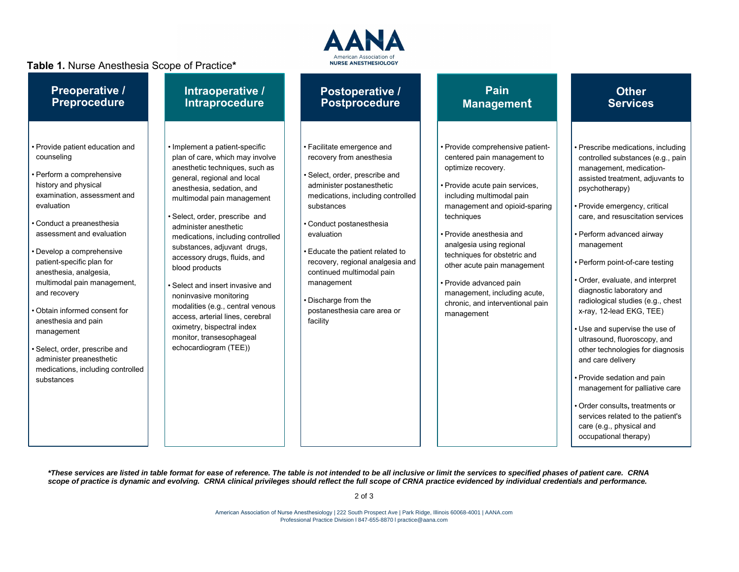## **Table 1.** Nurse Anesthesia Scope of Practice**\***



| <b>Preoperative /</b>                                                                                                                                                                                                                                                                                                                                                                                                                                                                                                         | Intraoperative /                                                                                                                                                                                                                                                                                                                                                                                                                                                                                                                                                                                        | <b>Postoperative /</b>                                                                                                                                                                                                                                                                                                                                                                                   | Pain                                                                                                                                                                                                                                                                                                                                                                                                                                    | <b>Other</b>                                                                                                                                                                                                                                                                                                                                                                                                                                                                                                                                                                                                                                                                                                                                                           |
|-------------------------------------------------------------------------------------------------------------------------------------------------------------------------------------------------------------------------------------------------------------------------------------------------------------------------------------------------------------------------------------------------------------------------------------------------------------------------------------------------------------------------------|---------------------------------------------------------------------------------------------------------------------------------------------------------------------------------------------------------------------------------------------------------------------------------------------------------------------------------------------------------------------------------------------------------------------------------------------------------------------------------------------------------------------------------------------------------------------------------------------------------|----------------------------------------------------------------------------------------------------------------------------------------------------------------------------------------------------------------------------------------------------------------------------------------------------------------------------------------------------------------------------------------------------------|-----------------------------------------------------------------------------------------------------------------------------------------------------------------------------------------------------------------------------------------------------------------------------------------------------------------------------------------------------------------------------------------------------------------------------------------|------------------------------------------------------------------------------------------------------------------------------------------------------------------------------------------------------------------------------------------------------------------------------------------------------------------------------------------------------------------------------------------------------------------------------------------------------------------------------------------------------------------------------------------------------------------------------------------------------------------------------------------------------------------------------------------------------------------------------------------------------------------------|
| <b>Preprocedure</b>                                                                                                                                                                                                                                                                                                                                                                                                                                                                                                           | Intraprocedure                                                                                                                                                                                                                                                                                                                                                                                                                                                                                                                                                                                          | <b>Postprocedure</b>                                                                                                                                                                                                                                                                                                                                                                                     | <b>Management</b>                                                                                                                                                                                                                                                                                                                                                                                                                       | <b>Services</b>                                                                                                                                                                                                                                                                                                                                                                                                                                                                                                                                                                                                                                                                                                                                                        |
| · Provide patient education and<br>counseling<br>· Perform a comprehensive<br>history and physical<br>examination, assessment and<br>evaluation<br>Conduct a preanesthesia<br>assessment and evaluation<br>· Develop a comprehensive<br>patient-specific plan for<br>anesthesia, analgesia,<br>multimodal pain management,<br>and recovery<br>Obtain informed consent for<br>anesthesia and pain<br>management<br>Select, order, prescribe and<br>administer preanesthetic<br>medications, including controlled<br>substances | · Implement a patient-specific<br>plan of care, which may involve<br>anesthetic techniques, such as<br>general, regional and local<br>anesthesia, sedation, and<br>multimodal pain management<br>· Select, order, prescribe and<br>administer anesthetic<br>medications, including controlled<br>substances, adjuvant drugs,<br>accessory drugs, fluids, and<br>blood products<br>• Select and insert invasive and<br>noninvasive monitoring<br>modalities (e.g., central venous<br>access, arterial lines, cerebral<br>oximetry, bispectral index<br>monitor, transesophageal<br>echocardiogram (TEE)) | • Facilitate emergence and<br>recovery from anesthesia<br>· Select, order, prescribe and<br>administer postanesthetic<br>medications, including controlled<br>substances<br>• Conduct postanesthesia<br>evaluation<br>· Educate the patient related to<br>recovery, regional analgesia and<br>continued multimodal pain<br>management<br>• Discharge from the<br>postanesthesia care area or<br>facility | · Provide comprehensive patient-<br>centered pain management to<br>optimize recovery.<br>· Provide acute pain services,<br>including multimodal pain<br>management and opioid-sparing<br>techniques<br>· Provide anesthesia and<br>analgesia using regional<br>techniques for obstetric and<br>other acute pain management<br>· Provide advanced pain<br>management, including acute,<br>chronic, and interventional pain<br>management | · Prescribe medications, including<br>controlled substances (e.g., pain<br>management, medication-<br>assisted treatment, adjuvants to<br>psychotherapy)<br>· Provide emergency, critical<br>care, and resuscitation services<br>· Perform advanced airway<br>management<br>• Perform point-of-care testing<br>• Order, evaluate, and interpret<br>diagnostic laboratory and<br>radiological studies (e.g., chest<br>x-ray, 12-lead EKG, TEE)<br>• Use and supervise the use of<br>ultrasound, fluoroscopy, and<br>other technologies for diagnosis<br>and care delivery<br>• Provide sedation and pain<br>management for palliative care<br>· Order consults, treatments or<br>services related to the patient's<br>care (e.g., physical and<br>occupational therapy) |

*\*These services are listed in table format for ease of reference. The table is not intended to be all inclusive or limit the services to specified phases of patient care. CRNA scope of practice is dynamic and evolving. CRNA clinical privileges should reflect the full scope of CRNA practice evidenced by individual credentials and performance.*

2 of 3

American Association of Nurse Anesthesiology | 222 South Prospect Ave | Park Ridge, Illinois 60068-4001 | AANA.com Professional Practice Division l 847-655-8870 l [practice@aana.com](mailto:practice@aana.com)